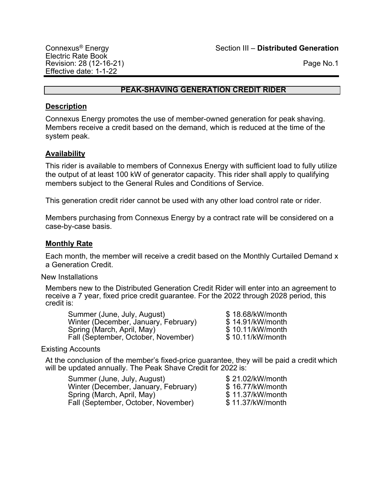# **PEAK-SHAVING GENERATION CREDIT RIDER**

## **Description**

Connexus Energy promotes the use of member-owned generation for peak shaving. Members receive a credit based on the demand, which is reduced at the time of the system peak.

# **Availability**

This rider is available to members of Connexus Energy with sufficient load to fully utilize the output of at least 100 kW of generator capacity. This rider shall apply to qualifying members subject to the General Rules and Conditions of Service.

This generation credit rider cannot be used with any other load control rate or rider.

Members purchasing from Connexus Energy by a contract rate will be considered on a case-by-case basis.

## **Monthly Rate**

Each month, the member will receive a credit based on the Monthly Curtailed Demand x a Generation Credit.

New Installations

Members new to the Distributed Generation Credit Rider will enter into an agreement to receive a 7 year, fixed price credit guarantee. For the 2022 through 2028 period, this credit is:

Summer (June, July, August)  $$ 18.68/kW/month$ <br>Winter (December, January, February)  $$ 14.91/kW/month$ Winter (December, January, February)  $$ 14.91/kW/month$ <br>Spring (March, April, May)  $$ 10.11/kW/month$ Spring (March, April, May)<br>
Fall (September, October, November)  $$ 10.11/kW/month$ Fall (September, October, November)

#### Existing Accounts

At the conclusion of the member's fixed-price guarantee, they will be paid a credit which will be updated annually. The Peak Shave Credit for 2022 is:

| Summer (June, July, August)          | \$21.02/kW/month |
|--------------------------------------|------------------|
| Winter (December, January, February) | \$16.77/kW/month |
| Spring (March, April, May)           | \$11.37/kW/month |
| Fall (September, October, November)  | \$11.37/kW/month |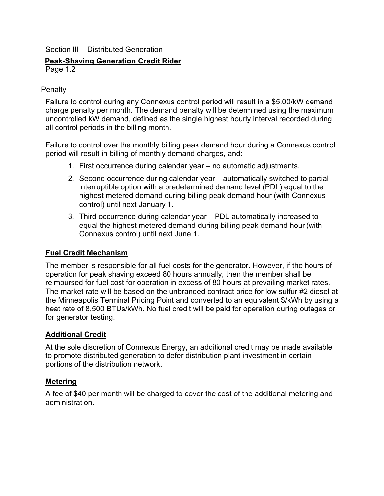## Section III – Distributed Generation

# **Peak-Shaving Generation Credit Rider**

Page 1.2

# **Penalty**

Failure to control during any Connexus control period will result in a \$5.00/kW demand charge penalty per month. The demand penalty will be determined using the maximum uncontrolled kW demand, defined as the single highest hourly interval recorded during all control periods in the billing month.

Failure to control over the monthly billing peak demand hour during a Connexus control period will result in billing of monthly demand charges, and:

- 1. First occurrence during calendar year no automatic adjustments.
- 2. Second occurrence during calendar year automatically switched to partial interruptible option with a predetermined demand level (PDL) equal to the highest metered demand during billing peak demand hour (with Connexus control) until next January 1.
- 3. Third occurrence during calendar year PDL automatically increased to equal the highest metered demand during billing peak demand hour (with Connexus control) until next June 1.

# **Fuel Credit Mechanism**

The member is responsible for all fuel costs for the generator. However, if the hours of operation for peak shaving exceed 80 hours annually, then the member shall be reimbursed for fuel cost for operation in excess of 80 hours at prevailing market rates. The market rate will be based on the unbranded contract price for low sulfur #2 diesel at the Minneapolis Terminal Pricing Point and converted to an equivalent \$/kWh by using a heat rate of 8,500 BTUs/kWh. No fuel credit will be paid for operation during outages or for generator testing.

# **Additional Credit**

At the sole discretion of Connexus Energy, an additional credit may be made available to promote distributed generation to defer distribution plant investment in certain portions of the distribution network.

# **Metering**

A fee of \$40 per month will be charged to cover the cost of the additional metering and administration.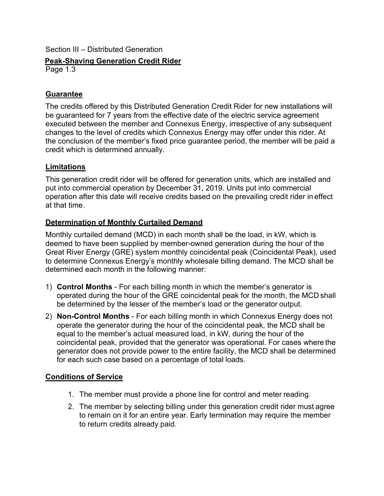# Section III – Distributed Generation

**Peak-Shaving Generation Credit Rider**

Page 1.3

# **Guarantee**

The credits offered by this Distributed Generation Credit Rider for new installations will be guaranteed for 7 years from the effective date of the electric service agreement executed between the member and Connexus Energy, irrespective of any subsequent changes to the level of credits which Connexus Energy may offer under this rider. At the conclusion of the member's fixed price guarantee period, the member will be paid a credit which is determined annually.

# **Limitations**

This generation credit rider will be offered for generation units, which are installed and put into commercial operation by December 31, 2019. Units put into commercial operation after this date will receive credits based on the prevailing credit rider in effect at that time.

# **Determination of Monthly Curtailed Demand**

Monthly curtailed demand (MCD) in each month shall be the load, in kW, which is deemed to have been supplied by member-owned generation during the hour of the Great River Energy (GRE) system monthly coincidental peak (Coincidental Peak), used to determine Connexus Energy's monthly wholesale billing demand. The MCD shall be determined each month in the following manner:

- 1) **Control Months**  For each billing month in which the member's generator is operated during the hour of the GRE coincidental peak for the month, the MCD shall be determined by the lesser of the member's load or the generator output.
- 2) **Non-Control Months**  For each billing month in which Connexus Energy does not operate the generator during the hour of the coincidental peak, the MCD shall be equal to the member's actual measured load, in kW, during the hour of the coincidental peak, provided that the generator was operational. For cases where the generator does not provide power to the entire facility, the MCD shall be determined for each such case based on a percentage of total loads.

# **Conditions of Service**

- 1. The member must provide a phone line for control and meter reading.
- 2. The member by selecting billing under this generation credit rider must agree to remain on it for an entire year. Early termination may require the member to return credits already paid.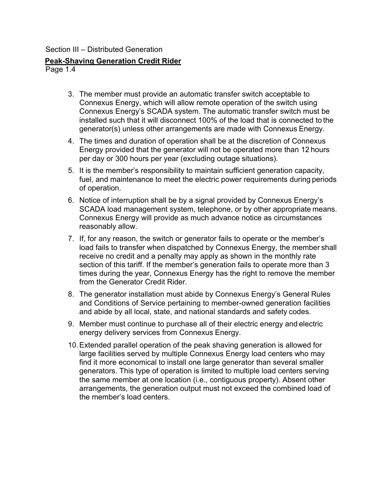#### Section III – Distributed Generation

## **Peak-Shaving Generation Credit Rider**

Page 1.4

- 3. The member must provide an automatic transfer switch acceptable to Connexus Energy, which will allow remote operation of the switch using Connexus Energy's SCADA system. The automatic transfer switch must be installed such that it will disconnect 100% of the load that is connected to the generator(s) unless other arrangements are made with Connexus Energy.
- 4. The times and duration of operation shall be at the discretion of Connexus Energy provided that the generator will not be operated more than 12 hours per day or 300 hours per year (excluding outage situations).
- 5. It is the member's responsibility to maintain sufficient generation capacity, fuel, and maintenance to meet the electric power requirements during periods of operation.
- 6. Notice of interruption shall be by a signal provided by Connexus Energy's SCADA load management system, telephone, or by other appropriate means. Connexus Energy will provide as much advance notice as circumstances reasonably allow.
- 7. If, for any reason, the switch or generator fails to operate or the member's load fails to transfer when dispatched by Connexus Energy, the member shall receive no credit and a penalty may apply as shown in the monthly rate section of this tariff. If the member's generation fails to operate more than 3 times during the year, Connexus Energy has the right to remove the member from the Generator Credit Rider.
- 8. The generator installation must abide by Connexus Energy's General Rules and Conditions of Service pertaining to member-owned generation facilities and abide by all local, state, and national standards and safety codes.
- 9. Member must continue to purchase all of their electric energy and electric energy delivery services from Connexus Energy.
- 10.Extended parallel operation of the peak shaving generation is allowed for large facilities served by multiple Connexus Energy load centers who may find it more economical to install one large generator than several smaller generators. This type of operation is limited to multiple load centers serving the same member at one location (i.e., contiguous property). Absent other arrangements, the generation output must not exceed the combined load of the member's load centers.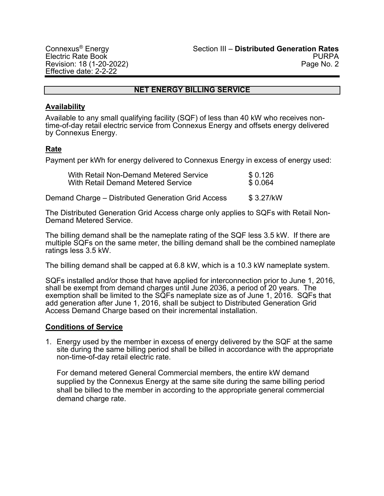## **NET ENERGY BILLING SERVICE**

#### **Availability**

Available to any small qualifying facility (SQF) of less than 40 kW who receives nontime-of-day retail electric service from Connexus Energy and offsets energy delivered by Connexus Energy.

# **Rate**

Payment per kWh for energy delivered to Connexus Energy in excess of energy used:

| With Retail Non-Demand Metered Service | \$0.126 |
|----------------------------------------|---------|
| With Retail Demand Metered Service     | \$0.064 |

Demand Charge – Distributed Generation Grid Access \$ 3.27/kW

The Distributed Generation Grid Access charge only applies to SQFs with Retail Non-Demand Metered Service.

The billing demand shall be the nameplate rating of the SQF less 3.5 kW. If there are multiple SQFs on the same meter, the billing demand shall be the combined nameplate ratings less 3.5 kW.

The billing demand shall be capped at 6.8 kW, which is a 10.3 kW nameplate system.

SQFs installed and/or those that have applied for interconnection prior to June 1, 2016, shall be exempt from demand charges until June 2036, a period of 20 years. The exemption shall be limited to the SQFs nameplate size as of June 1, 2016. SQFs that add generation after June 1, 2016, shall be subject to Distributed Generation Grid Access Demand Charge based on their incremental installation.

#### **Conditions of Service**

1. Energy used by the member in excess of energy delivered by the SQF at the same site during the same billing period shall be billed in accordance with the appropriate non-time-of-day retail electric rate.

For demand metered General Commercial members, the entire kW demand supplied by the Connexus Energy at the same site during the same billing period shall be billed to the member in according to the appropriate general commercial demand charge rate.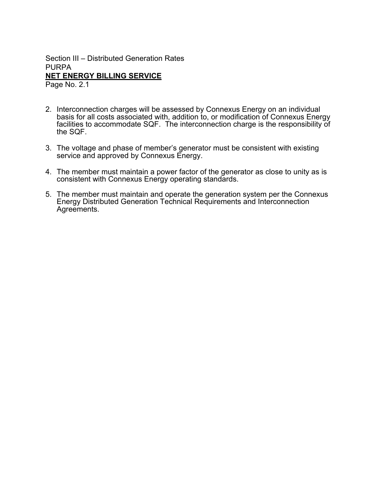Section III – Distributed Generation Rates PURPA **NET ENERGY BILLING SERVICE** Page No. 2.1

2. Interconnection charges will be assessed by Connexus Energy on an individual basis for all costs associated with, addition to, or modification of Connexus Energy facilities to accommodate SQF. The interconnection charge is the responsibility of the SQF.

- 3. The voltage and phase of member's generator must be consistent with existing service and approved by Connexus Energy.
- 4. The member must maintain a power factor of the generator as close to unity as is consistent with Connexus Energy operating standards.
- 5. The member must maintain and operate the generation system per the Connexus Energy Distributed Generation Technical Requirements and Interconnection Agreements.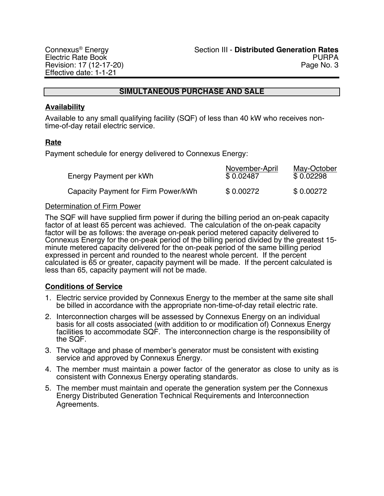#### **SIMULTANEOUS PURCHASE AND SALE**

#### **Availability**

Available to any small qualifying facility (SQF) of less than 40 kW who receives nontime-of-day retail electric service.

## **Rate**

Payment schedule for energy delivered to Connexus Energy:

| Energy Payment per kWh              | November-April<br>\$0.02487 | <u>May-October</u><br>\$0.02298 |
|-------------------------------------|-----------------------------|---------------------------------|
| Capacity Payment for Firm Power/kWh | \$0.00272                   | \$0.00272                       |

#### Determination of Firm Power

The SQF will have supplied firm power if during the billing period an on-peak capacity factor of at least 65 percent was achieved. The calculation of the on-peak capacity factor will be as follows: the average on-peak period metered capacity delivered to<br>Connexus Energy for the on-peak period of the billing period divided by the greatest 15minute metered capacity delivered for the on-peak period of the same billing period expressed in percent and rounded to the nearest whole percent. If the percent calculated is 65 or greater, capacity payment will be made. If the percent calculated is less than 65, capacity payment will not be made.

#### **Conditions of Service**

- 1. Electric service provided by Connexus Energy to the member at the same site shall be billed in accordance with the appropriate non-time-of-day retail electric rate.
- 2. Interconnection charges will be assessed by Connexus Energy on an individual basis for all costs associated (with addition to or modification of) Connexus Energy facilities to accommodate SQF. The interconnection charge is the responsibility of the SQF.
- 3. The voltage and phase of member's generator must be consistent with existing service and approved by Connexus Energy.
- 4. The member must maintain a power factor of the generator as close to unity as is consistent with Connexus Energy operating standards.
- 5. The member must maintain and operate the generation system per the Connexus Energy Distributed Generation Technical Requirements and Interconnection Agreements.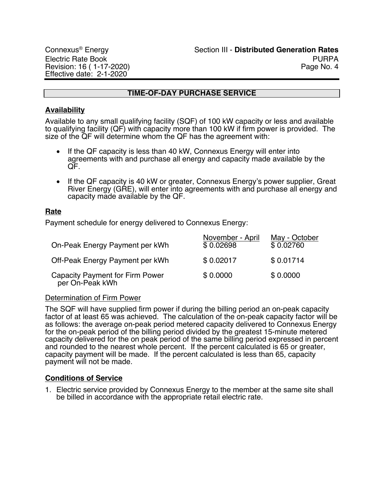## **TIME-OF-DAY PURCHASE SERVICE**

## **Availability**

Available to any small qualifying facility (SQF) of 100 kW capacity or less and available to qualifying facility (QF) with capacity more than 100 kW if firm power is provided. The size of the QF will determine whom the QF has the agreement with:

- If the QF capacity is less than 40 kW, Connexus Energy will enter into agreements with and purchase all energy and capacity made available by the QF.
- If the QF capacity is 40 kW or greater, Connexus Energy's power supplier, Great River Energy (GRE), will enter into agreements with and purchase all energy and capacity made available by the QF.

## **Rate**

Payment schedule for energy delivered to Connexus Energy:

| On-Peak Energy Payment per kWh                            | November - April<br>\$0.02698 | May - October<br>\$0.02760 |
|-----------------------------------------------------------|-------------------------------|----------------------------|
| Off-Peak Energy Payment per kWh                           | \$0.02017                     | \$0.01714                  |
| <b>Capacity Payment for Firm Power</b><br>per On-Peak kWh | \$0.0000                      | \$0.0000                   |

#### Determination of Firm Power

The SQF will have supplied firm power if during the billing period an on-peak capacity factor of at least 65 was achieved. The calculation of the on-peak capacity factor will be as follows: the average on-peak period metered capacity delivered to Connexus Energy for the on-peak period of the billing period divided by the greatest 15-minute metered capacity delivered for the on peak period of the same billing period expressed in percent and rounded to the nearest whole percent. If the percent calculated is 65 or greater, capacity payment will be made. If the percent calculated is less than 65, capacity payment will not be made.

#### **Conditions of Service**

1. Electric service provided by Connexus Energy to the member at the same site shall be billed in accordance with the appropriate retail electric rate.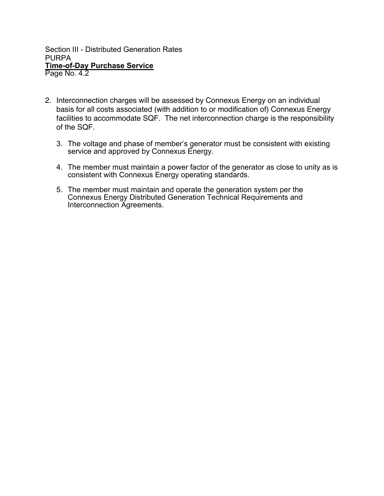Section III - Distributed Generation Rates PURPA **Time-of-Day Purchase Service** Page No. 4.2

- 2. Interconnection charges will be assessed by Connexus Energy on an individual basis for all costs associated (with addition to or modification of) Connexus Energy facilities to accommodate SQF. The net interconnection charge is the responsibility of the SQF.
	- 3. The voltage and phase of member's generator must be consistent with existing service and approved by Connexus Energy.
	- 4. The member must maintain a power factor of the generator as close to unity as is consistent with Connexus Energy operating standards.
	- 5. The member must maintain and operate the generation system per the Connexus Energy Distributed Generation Technical Requirements and Interconnection Agreements.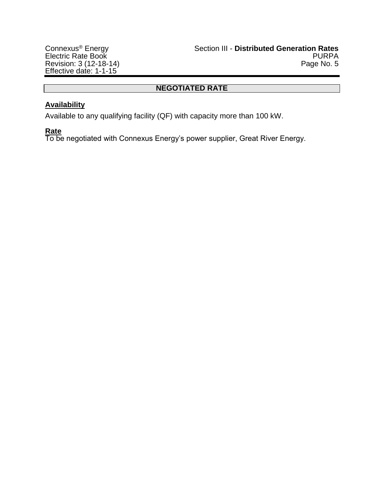# **NEGOTIATED RATE**

# **Availability**

Available to any qualifying facility (QF) with capacity more than 100 kW.

# **Rate**

To be negotiated with Connexus Energy's power supplier, Great River Energy.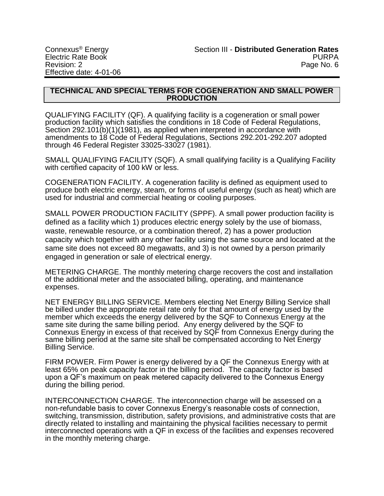#### **TECHNICAL AND SPECIAL TERMS FOR COGENERATION AND SMALL POWER PRODUCTION**

QUALIFYING FACILITY (QF). A qualifying facility is a cogeneration or small power production facility which satisfies the conditions in 18 Code of Federal Regulations, Section 292.101(b)(1)(1981), as applied when interpreted in accordance with amendments to 18 Code of Federal Regulations, Sections 292.201-292.207 adopted through 46 Federal Register 33025-33027 (1981).

SMALL QUALIFYING FACILITY (SQF). A small qualifying facility is a Qualifying Facility with certified capacity of 100 kW or less.

COGENERATION FACILITY. A cogeneration facility is defined as equipment used to produce both electric energy, steam, or forms of useful energy (such as heat) which are used for industrial and commercial heating or cooling purposes.

SMALL POWER PRODUCTION FACILITY (SPPF). A small power production facility is defined as a facility which 1) produces electric energy solely by the use of biomass, waste, renewable resource, or a combination thereof, 2) has a power production capacity which together with any other facility using the same source and located at the same site does not exceed 80 megawatts, and 3) is not owned by a person primarily engaged in generation or sale of electrical energy.

METERING CHARGE. The monthly metering charge recovers the cost and installation of the additional meter and the associated billing, operating, and maintenance expenses.

NET ENERGY BILLING SERVICE. Members electing Net Energy Billing Service shall be billed under the appropriate retail rate only for that amount of energy used by the member which exceeds the energy delivered by the SQF to Connexus Energy at the same site during the same billing period. Any energy delivered by the SQF to Connexus Energy in excess of that received by SQF from Connexus Energy during the same billing period at the same site shall be compensated according to Net Energy Billing Service.

FIRM POWER. Firm Power is energy delivered by a QF the Connexus Energy with at least 65% on peak capacity factor in the billing period. The capacity factor is based upon a QF's maximum on peak metered capacity delivered to the Connexus Energy during the billing period.

INTERCONNECTION CHARGE. The interconnection charge will be assessed on a non-refundable basis to cover Connexus Energy's reasonable costs of connection, switching, transmission, distribution, safety provisions, and administrative costs that are directly related to installing and maintaining the physical facilities necessary to permit interconnected operations with a QF in excess of the facilities and expenses recovered in the monthly metering charge.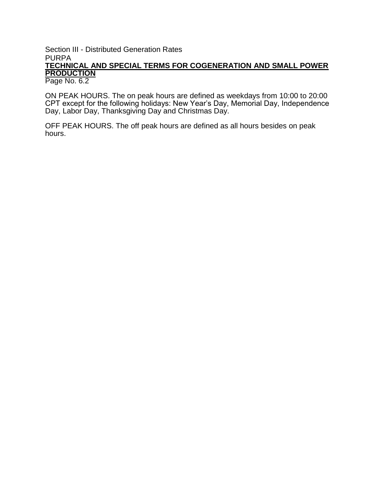# Section III - Distributed Generation Rates PURPA **TECHNICAL AND SPECIAL TERMS FOR COGENERATION AND SMALL POWER PRODUCTION**

Page No. 6.2

ON PEAK HOURS. The on peak hours are defined as weekdays from 10:00 to 20:00 CPT except for the following holidays: New Year's Day, Memorial Day, Independence Day, Labor Day, Thanksgiving Day and Christmas Day.

OFF PEAK HOURS. The off peak hours are defined as all hours besides on peak hours.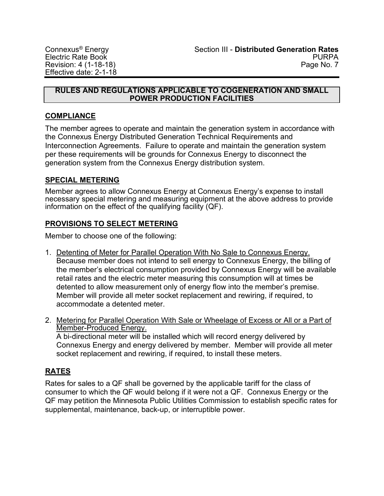#### **RULES AND REGULATIONS APPLICABLE TO COGENERATION AND SMALL POWER PRODUCTION FACILITIES**

# **COMPLIANCE**

The member agrees to operate and maintain the generation system in accordance with the Connexus Energy Distributed Generation Technical Requirements and Interconnection Agreements. Failure to operate and maintain the generation system per these requirements will be grounds for Connexus Energy to disconnect the generation system from the Connexus Energy distribution system.

# **SPECIAL METERING**

Member agrees to allow Connexus Energy at Connexus Energy's expense to install necessary special metering and measuring equipment at the above address to provide information on the effect of the qualifying facility (QF).

# **PROVISIONS TO SELECT METERING**

Member to choose one of the following:

- 1. Detenting of Meter for Parallel Operation With No Sale to Connexus Energy. Because member does not intend to sell energy to Connexus Energy, the billing of the member's electrical consumption provided by Connexus Energy will be available retail rates and the electric meter measuring this consumption will at times be detented to allow measurement only of energy flow into the member's premise. Member will provide all meter socket replacement and rewiring, if required, to accommodate a detented meter.
- 2. Metering for Parallel Operation With Sale or Wheelage of Excess or All or a Part of Member-Produced Energy. A bi-directional meter will be installed which will record energy delivered by Connexus Energy and energy delivered by member. Member will provide all meter socket replacement and rewiring, if required, to install these meters.

# **RATES**

Rates for sales to a QF shall be governed by the applicable tariff for the class of consumer to which the QF would belong if it were not a QF. Connexus Energy or the QF may petition the Minnesota Public Utilities Commission to establish specific rates for supplemental, maintenance, back-up, or interruptible power.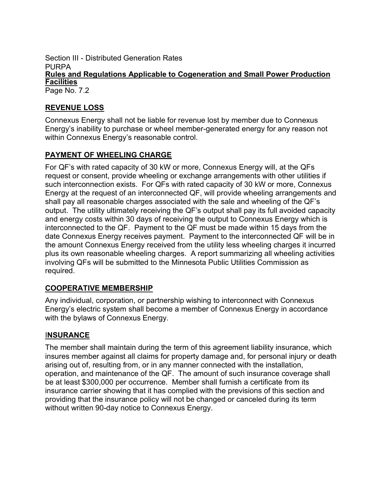Section III - Distributed Generation Rates **PURPA Rules and Regulations Applicable to Cogeneration and Small Power Production Facilities** Page No. 7.2

# **REVENUE LOSS**

Connexus Energy shall not be liable for revenue lost by member due to Connexus Energy's inability to purchase or wheel member-generated energy for any reason not within Connexus Energy's reasonable control.

# **PAYMENT OF WHEELING CHARGE**

For QF's with rated capacity of 30 kW or more, Connexus Energy will, at the QFs request or consent, provide wheeling or exchange arrangements with other utilities if such interconnection exists. For QFs with rated capacity of 30 kW or more, Connexus Energy at the request of an interconnected QF, will provide wheeling arrangements and shall pay all reasonable charges associated with the sale and wheeling of the QF's output. The utility ultimately receiving the QF's output shall pay its full avoided capacity and energy costs within 30 days of receiving the output to Connexus Energy which is interconnected to the QF. Payment to the QF must be made within 15 days from the date Connexus Energy receives payment. Payment to the interconnected QF will be in the amount Connexus Energy received from the utility less wheeling charges it incurred plus its own reasonable wheeling charges. A report summarizing all wheeling activities involving QFs will be submitted to the Minnesota Public Utilities Commission as required.

# **COOPERATIVE MEMBERSHIP**

Any individual, corporation, or partnership wishing to interconnect with Connexus Energy's electric system shall become a member of Connexus Energy in accordance with the bylaws of Connexus Energy.

# I**NSURANCE**

The member shall maintain during the term of this agreement liability insurance, which insures member against all claims for property damage and, for personal injury or death arising out of, resulting from, or in any manner connected with the installation, operation, and maintenance of the QF. The amount of such insurance coverage shall be at least \$300,000 per occurrence. Member shall furnish a certificate from its insurance carrier showing that it has complied with the previsions of this section and providing that the insurance policy will not be changed or canceled during its term without written 90-day notice to Connexus Energy.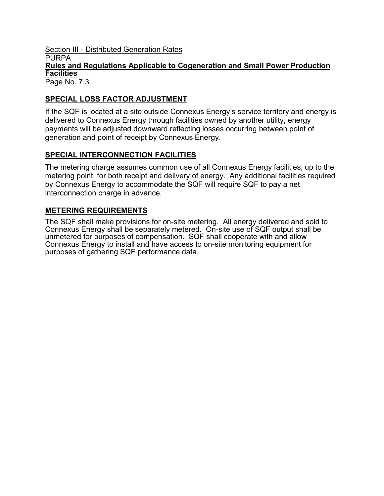# **Section III - Distributed Generation Rates PURPA Rules and Regulations Applicable to Cogeneration and Small Power Production Facilities**

Page No. 7.3

# **SPECIAL LOSS FACTOR ADJUSTMENT**

If the SQF is located at a site outside Connexus Energy's service territory and energy is delivered to Connexus Energy through facilities owned by another utility, energy payments will be adjusted downward reflecting losses occurring between point of generation and point of receipt by Connexus Energy.

# **SPECIAL INTERCONNECTION FACILITIES**

The metering charge assumes common use of all Connexus Energy facilities, up to the metering point, for both receipt and delivery of energy. Any additional facilities required by Connexus Energy to accommodate the SQF will require SQF to pay a net interconnection charge in advance.

# **METERING REQUIREMENTS**

The SQF shall make provisions for on-site metering. All energy delivered and sold to Connexus Energy shall be separately metered. On-site use of SQF output shall be unmetered for purposes of compensation. SQF shall cooperate with and allow Connexus Energy to install and have access to on-site monitoring equipment for purposes of gathering SQF performance data.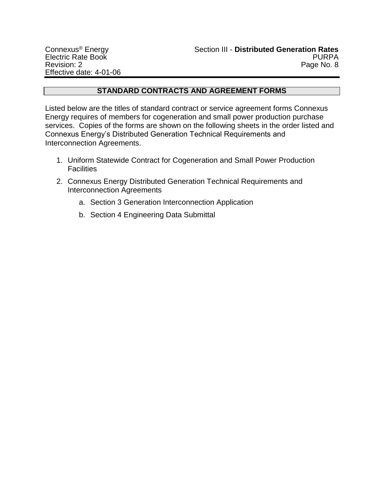# **STANDARD CONTRACTS AND AGREEMENT FORMS**

Listed below are the titles of standard contract or service agreement forms Connexus Energy requires of members for cogeneration and small power production purchase services. Copies of the forms are shown on the following sheets in the order listed and Connexus Energy's Distributed Generation Technical Requirements and Interconnection Agreements.

- 1. Uniform Statewide Contract for Cogeneration and Small Power Production **Facilities**
- 2. Connexus Energy Distributed Generation Technical Requirements and Interconnection Agreements
	- a. Section 3 Generation Interconnection Application
	- b. Section 4 Engineering Data Submittal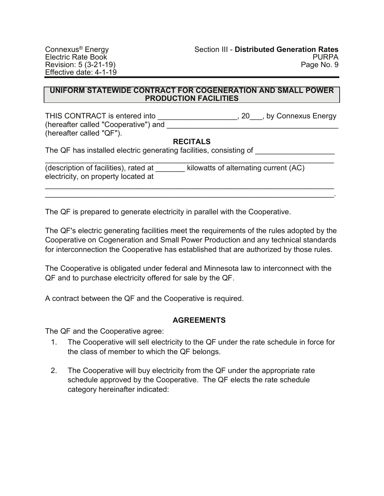#### **UNIFORM STATEWIDE CONTRACT FOR COGENERATION AND SMALL POWER PRODUCTION FACILITIES**

THIS CONTRACT is entered into \_\_\_\_\_\_\_\_\_\_\_\_\_\_\_\_\_\_\_\_, 20\_\_\_, by Connexus Energy (hereafter called "Cooperative") and (hereafter called "QF").

# **RECITALS**

The QF has installed electric generating facilities, consisting of

| (description of facilities), rated at | kilowatts of alternating current (AC) |
|---------------------------------------|---------------------------------------|
| electricity, on property located at   |                                       |

\_\_\_\_\_\_\_\_\_\_\_\_\_\_\_\_\_\_\_\_\_\_\_\_\_\_\_\_\_\_\_\_\_\_\_\_\_\_\_\_\_\_\_\_\_\_\_\_\_\_\_\_\_\_\_\_\_\_\_\_\_\_\_\_\_\_\_\_\_ \_\_\_\_\_\_\_\_\_\_\_\_\_\_\_\_\_\_\_\_\_\_\_\_\_\_\_\_\_\_\_\_\_\_\_\_\_\_\_\_\_\_\_\_\_\_\_\_\_\_\_\_\_\_\_\_\_\_\_\_\_\_\_\_\_\_\_\_\_.

The QF is prepared to generate electricity in parallel with the Cooperative.

The QF's electric generating facilities meet the requirements of the rules adopted by the Cooperative on Cogeneration and Small Power Production and any technical standards for interconnection the Cooperative has established that are authorized by those rules.

The Cooperative is obligated under federal and Minnesota law to interconnect with the QF and to purchase electricity offered for sale by the QF.

A contract between the QF and the Cooperative is required.

# **AGREEMENTS**

The QF and the Cooperative agree:

- 1. The Cooperative will sell electricity to the QF under the rate schedule in force for the class of member to which the QF belongs.
- 2. The Cooperative will buy electricity from the QF under the appropriate rate schedule approved by the Cooperative. The QF elects the rate schedule category hereinafter indicated: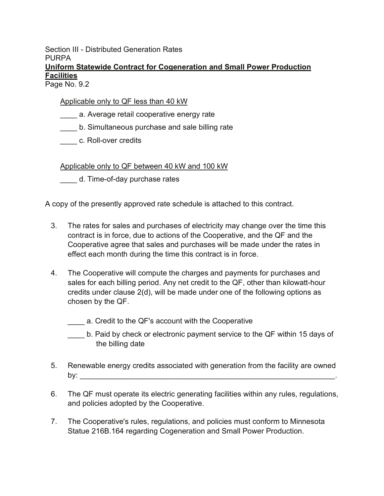Section III - Distributed Generation Rates **PURPA** 

# **Uniform Statewide Contract for Cogeneration and Small Power Production Facilities**

Page No. 9.2

# Applicable only to QF less than 40 kW

- \_\_\_\_ a. Average retail cooperative energy rate
- \_\_\_\_ b. Simultaneous purchase and sale billing rate
- \_\_\_\_ c. Roll-over credits

Applicable only to QF between 40 kW and 100 kW

\_\_\_\_ d. Time-of-day purchase rates

A copy of the presently approved rate schedule is attached to this contract.

- 3. The rates for sales and purchases of electricity may change over the time this contract is in force, due to actions of the Cooperative, and the QF and the Cooperative agree that sales and purchases will be made under the rates in effect each month during the time this contract is in force.
- 4. The Cooperative will compute the charges and payments for purchases and sales for each billing period. Any net credit to the QF, other than kilowatt-hour credits under clause 2(d), will be made under one of the following options as chosen by the QF.
	- \_\_\_\_ a. Credit to the QF's account with the Cooperative
	- b. Paid by check or electronic payment service to the QF within 15 days of the billing date
- 5. Renewable energy credits associated with generation from the facility are owned by: \_\_\_\_\_\_\_\_\_\_\_\_\_\_\_\_\_\_\_\_\_\_\_\_\_\_\_\_\_\_\_\_\_\_\_\_\_\_\_\_\_\_\_\_\_\_\_\_\_\_\_\_\_\_\_\_\_\_\_\_\_.
- 6. The QF must operate its electric generating facilities within any rules, regulations, and policies adopted by the Cooperative.
- 7. The Cooperative's rules, regulations, and policies must conform to Minnesota Statue 216B.164 regarding Cogeneration and Small Power Production.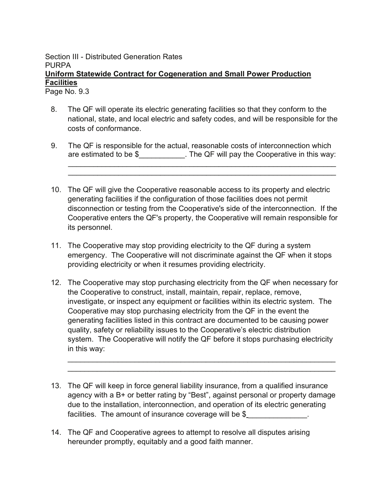Page No. 9.3

- 8. The QF will operate its electric generating facilities so that they conform to the national, state, and local electric and safety codes, and will be responsible for the costs of conformance.
- 9. The QF is responsible for the actual, reasonable costs of interconnection which are estimated to be  $\frac{1}{2}$   $\frac{1}{2}$ . The QF will pay the Cooperative in this way: \_\_\_\_\_\_\_\_\_\_\_\_\_\_\_\_\_\_\_\_\_\_\_\_\_\_\_\_\_\_\_\_\_\_\_\_\_\_\_\_\_\_\_\_\_\_\_\_\_\_\_\_\_\_\_\_\_\_\_\_\_\_\_\_

\_\_\_\_\_\_\_\_\_\_\_\_\_\_\_\_\_\_\_\_\_\_\_\_\_\_\_\_\_\_\_\_\_\_\_\_\_\_\_\_\_\_\_\_\_\_\_\_\_\_\_\_\_\_\_\_\_\_\_\_\_\_\_\_

- 10. The QF will give the Cooperative reasonable access to its property and electric generating facilities if the configuration of those facilities does not permit disconnection or testing from the Cooperative's side of the interconnection. If the Cooperative enters the QF's property, the Cooperative will remain responsible for its personnel.
- 11. The Cooperative may stop providing electricity to the QF during a system emergency. The Cooperative will not discriminate against the QF when it stops providing electricity or when it resumes providing electricity.
- 12. The Cooperative may stop purchasing electricity from the QF when necessary for the Cooperative to construct, install, maintain, repair, replace, remove, investigate, or inspect any equipment or facilities within its electric system. The Cooperative may stop purchasing electricity from the QF in the event the generating facilities listed in this contract are documented to be causing power quality, safety or reliability issues to the Cooperative's electric distribution system. The Cooperative will notify the QF before it stops purchasing electricity in this way:

\_\_\_\_\_\_\_\_\_\_\_\_\_\_\_\_\_\_\_\_\_\_\_\_\_\_\_\_\_\_\_\_\_\_\_\_\_\_\_\_\_\_\_\_\_\_\_\_\_\_\_\_\_\_\_\_\_\_\_\_\_\_\_\_ \_\_\_\_\_\_\_\_\_\_\_\_\_\_\_\_\_\_\_\_\_\_\_\_\_\_\_\_\_\_\_\_\_\_\_\_\_\_\_\_\_\_\_\_\_\_\_\_\_\_\_\_\_\_\_\_\_\_\_\_\_\_\_\_

- 13. The QF will keep in force general liability insurance, from a qualified insurance agency with a B+ or better rating by "Best", against personal or property damage due to the installation, interconnection, and operation of its electric generating facilities. The amount of insurance coverage will be \$
- 14. The QF and Cooperative agrees to attempt to resolve all disputes arising hereunder promptly, equitably and a good faith manner.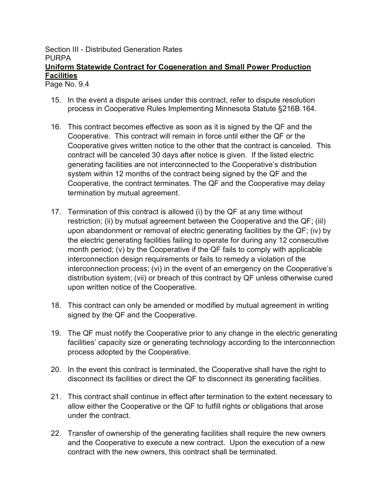Page No. 9.4

- 15. In the event a dispute arises under this contract, refer to dispute resolution process in Cooperative Rules Implementing Minnesota Statute §216B.164.
- 16. This contract becomes effective as soon as it is signed by the QF and the Cooperative. This contract will remain in force until either the QF or the Cooperative gives written notice to the other that the contract is canceled. This contract will be canceled 30 days after notice is given. If the listed electric generating facilities are not interconnected to the Cooperative's distribution system within 12 months of the contract being signed by the QF and the Cooperative, the contract terminates. The QF and the Cooperative may delay termination by mutual agreement.
- 17. Termination of this contract is allowed (i) by the QF at any time without restriction; (ii) by mutual agreement between the Cooperative and the QF; (iiI) upon abandonment or removal of electric generating facilities by the QF; (iv) by the electric generating facilities failing to operate for during any 12 consecutive month period; (v) by the Cooperative if the QF fails to comply with applicable interconnection design requirements or fails to remedy a violation of the interconnection process; (vi) in the event of an emergency on the Cooperative's distribution system; (vii) or breach of this contract by QF unless otherwise cured upon written notice of the Cooperative.
- 18. This contract can only be amended or modified by mutual agreement in writing signed by the QF and the Cooperative.
- 19. The QF must notify the Cooperative prior to any change in the electric generating facilities' capacity size or generating technology according to the interconnection process adopted by the Cooperative.
- 20. In the event this contract is terminated, the Cooperative shall have the right to disconnect its facilities or direct the QF to disconnect its generating facilities.
- 21. This contract shall continue in effect after termination to the extent necessary to allow either the Cooperative or the QF to fulfill rights or obligations that arose under the contract.
- 22. Transfer of ownership of the generating facilities shall require the new owners and the Cooperative to execute a new contract. Upon the execution of a new contract with the new owners, this contract shall be terminated.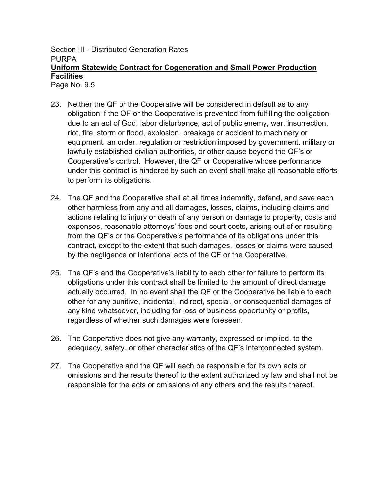Page No. 9.5

- 23. Neither the QF or the Cooperative will be considered in default as to any obligation if the QF or the Cooperative is prevented from fulfilling the obligation due to an act of God, labor disturbance, act of public enemy, war, insurrection, riot, fire, storm or flood, explosion, breakage or accident to machinery or equipment, an order, regulation or restriction imposed by government, military or lawfully established civilian authorities, or other cause beyond the QF's or Cooperative's control. However, the QF or Cooperative whose performance under this contract is hindered by such an event shall make all reasonable efforts to perform its obligations.
- 24. The QF and the Cooperative shall at all times indemnify, defend, and save each other harmless from any and all damages, losses, claims, including claims and actions relating to injury or death of any person or damage to property, costs and expenses, reasonable attorneys' fees and court costs, arising out of or resulting from the QF's or the Cooperative's performance of its obligations under this contract, except to the extent that such damages, losses or claims were caused by the negligence or intentional acts of the QF or the Cooperative.
- 25. The QF's and the Cooperative's liability to each other for failure to perform its obligations under this contract shall be limited to the amount of direct damage actually occurred. In no event shall the QF or the Cooperative be liable to each other for any punitive, incidental, indirect, special, or consequential damages of any kind whatsoever, including for loss of business opportunity or profits, regardless of whether such damages were foreseen.
- 26. The Cooperative does not give any warranty, expressed or implied, to the adequacy, safety, or other characteristics of the QF's interconnected system.
- 27. The Cooperative and the QF will each be responsible for its own acts or omissions and the results thereof to the extent authorized by law and shall not be responsible for the acts or omissions of any others and the results thereof.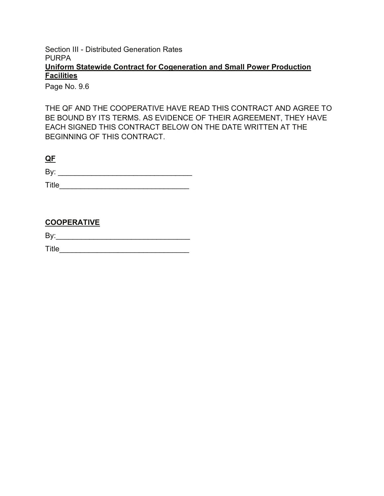Page No. 9.6

THE QF AND THE COOPERATIVE HAVE READ THIS CONTRACT AND AGREE TO BE BOUND BY ITS TERMS. AS EVIDENCE OF THEIR AGREEMENT, THEY HAVE EACH SIGNED THIS CONTRACT BELOW ON THE DATE WRITTEN AT THE BEGINNING OF THIS CONTRACT.

| D.<br>- |  |  |
|---------|--|--|
|         |  |  |

Title\_\_\_\_\_\_\_\_\_\_\_\_\_\_\_\_\_\_\_\_\_\_\_\_\_\_\_\_\_\_\_

# **COOPERATIVE**

By:\_\_\_\_\_\_\_\_\_\_\_\_\_\_\_\_\_\_\_\_\_\_\_\_\_\_\_\_\_\_\_\_

Title\_\_\_\_\_\_\_\_\_\_\_\_\_\_\_\_\_\_\_\_\_\_\_\_\_\_\_\_\_\_\_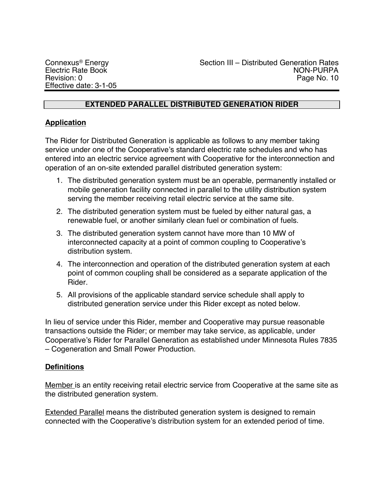# **EXTENDED PARALLEL DISTRIBUTED GENERATION RIDER**

# **Application**

The Rider for Distributed Generation is applicable as follows to any member taking service under one of the Cooperative's standard electric rate schedules and who has entered into an electric service agreement with Cooperative for the interconnection and operation of an on-site extended parallel distributed generation system:

- 1. The distributed generation system must be an operable, permanently installed or mobile generation facility connected in parallel to the utility distribution system serving the member receiving retail electric service at the same site.
- 2. The distributed generation system must be fueled by either natural gas, a renewable fuel, or another similarly clean fuel or combination of fuels.
- 3. The distributed generation system cannot have more than 10 MW of interconnected capacity at a point of common coupling to Cooperative's distribution system.
- 4. The interconnection and operation of the distributed generation system at each point of common coupling shall be considered as a separate application of the Rider.
- 5. All provisions of the applicable standard service schedule shall apply to distributed generation service under this Rider except as noted below.

In lieu of service under this Rider, member and Cooperative may pursue reasonable transactions outside the Rider; or member may take service, as applicable, under Cooperative's Rider for Parallel Generation as established under Minnesota Rules 7835 – Cogeneration and Small Power Production.

# **Definitions**

Member is an entity receiving retail electric service from Cooperative at the same site as the distributed generation system.

**Extended Parallel means the distributed generation system is designed to remain** connected with the Cooperative's distribution system for an extended period of time.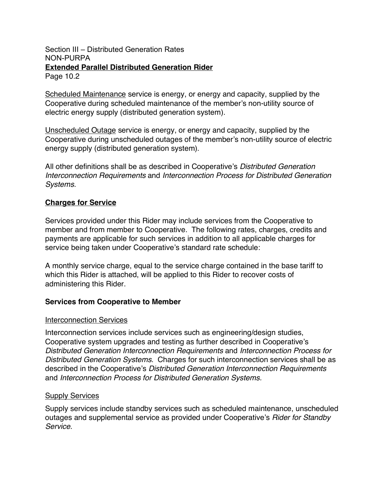Scheduled Maintenance service is energy, or energy and capacity, supplied by the Cooperative during scheduled maintenance of the member's non-utility source of electric energy supply (distributed generation system).

Unscheduled Outage service is energy, or energy and capacity, supplied by the Cooperative during unscheduled outages of the member's non-utility source of electric energy supply (distributed generation system).

All other definitions shall be as described in Cooperative's *Distributed Generation Interconnection Requirements* and *Interconnection Process for Distributed Generation Systems.*

# **Charges for Service**

Services provided under this Rider may include services from the Cooperative to member and from member to Cooperative. The following rates, charges, credits and payments are applicable for such services in addition to all applicable charges for service being taken under Cooperative's standard rate schedule:

A monthly service charge, equal to the service charge contained in the base tariff to which this Rider is attached, will be applied to this Rider to recover costs of administering this Rider.

# **Services from Cooperative to Member**

#### **Interconnection Services**

Interconnection services include services such as engineering/design studies, Cooperative system upgrades and testing as further described in Cooperative's *Distributed Generation Interconnection Requirements* and *Interconnection Process for Distributed Generation Systems*. Charges for such interconnection services shall be as described in the Cooperative's *Distributed Generation Interconnection Requirements*  and *Interconnection Process for Distributed Generation Systems.*

#### **Supply Services**

Supply services include standby services such as scheduled maintenance, unscheduled outages and supplemental service as provided under Cooperative's *Rider for Standby Service*.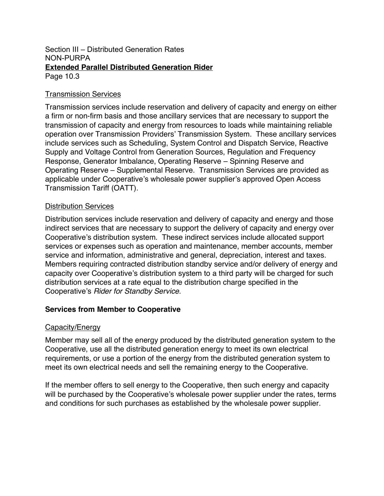# Transmission Services

Transmission services include reservation and delivery of capacity and energy on either a firm or non-firm basis and those ancillary services that are necessary to support the transmission of capacity and energy from resources to loads while maintaining reliable operation over Transmission Providers' Transmission System. These ancillary services include services such as Scheduling, System Control and Dispatch Service, Reactive Supply and Voltage Control from Generation Sources, Regulation and Frequency Response, Generator Imbalance, Operating Reserve – Spinning Reserve and Operating Reserve – Supplemental Reserve. Transmission Services are provided as applicable under Cooperative's wholesale power supplier's approved Open Access Transmission Tariff (OATT).

# Distribution Services

Distribution services include reservation and delivery of capacity and energy and those indirect services that are necessary to support the delivery of capacity and energy over Cooperative's distribution system. These indirect services include allocated support services or expenses such as operation and maintenance, member accounts, member service and information, administrative and general, depreciation, interest and taxes. Members requiring contracted distribution standby service and/or delivery of energy and capacity over Cooperative's distribution system to a third party will be charged for such distribution services at a rate equal to the distribution charge specified in the Cooperative's *Rider for Standby Service*.

# **Services from Member to Cooperative**

# Capacity/Energy

Member may sell all of the energy produced by the distributed generation system to the Cooperative, use all the distributed generation energy to meet its own electrical requirements, or use a portion of the energy from the distributed generation system to meet its own electrical needs and sell the remaining energy to the Cooperative.

If the member offers to sell energy to the Cooperative, then such energy and capacity will be purchased by the Cooperative's wholesale power supplier under the rates, terms and conditions for such purchases as established by the wholesale power supplier.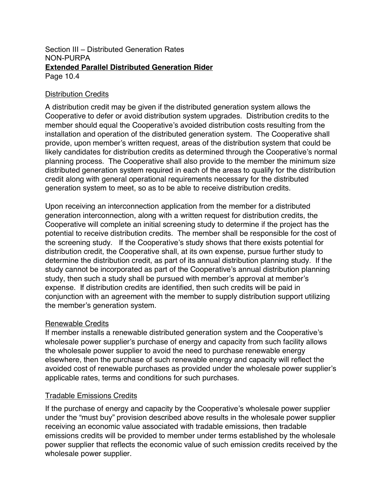# Distribution Credits

A distribution credit may be given if the distributed generation system allows the Cooperative to defer or avoid distribution system upgrades. Distribution credits to the member should equal the Cooperative's avoided distribution costs resulting from the installation and operation of the distributed generation system. The Cooperative shall provide, upon member's written request, areas of the distribution system that could be likely candidates for distribution credits as determined through the Cooperative's normal planning process. The Cooperative shall also provide to the member the minimum size distributed generation system required in each of the areas to qualify for the distribution credit along with general operational requirements necessary for the distributed generation system to meet, so as to be able to receive distribution credits.

Upon receiving an interconnection application from the member for a distributed generation interconnection, along with a written request for distribution credits, the Cooperative will complete an initial screening study to determine if the project has the potential to receive distribution credits. The member shall be responsible for the cost of the screening study. If the Cooperative's study shows that there exists potential for distribution credit, the Cooperative shall, at its own expense, pursue further study to determine the distribution credit, as part of its annual distribution planning study. If the study cannot be incorporated as part of the Cooperative's annual distribution planning study, then such a study shall be pursued with member's approval at member's expense. If distribution credits are identified, then such credits will be paid in conjunction with an agreement with the member to supply distribution support utilizing the member's generation system.

# Renewable Credits

If member installs a renewable distributed generation system and the Cooperative's wholesale power supplier's purchase of energy and capacity from such facility allows the wholesale power supplier to avoid the need to purchase renewable energy elsewhere, then the purchase of such renewable energy and capacity will reflect the avoided cost of renewable purchases as provided under the wholesale power supplier's applicable rates, terms and conditions for such purchases.

# Tradable Emissions Credits

If the purchase of energy and capacity by the Cooperative's wholesale power supplier under the "must buy" provision described above results in the wholesale power supplier receiving an economic value associated with tradable emissions, then tradable emissions credits will be provided to member under terms established by the wholesale power supplier that reflects the economic value of such emission credits received by the wholesale power supplier.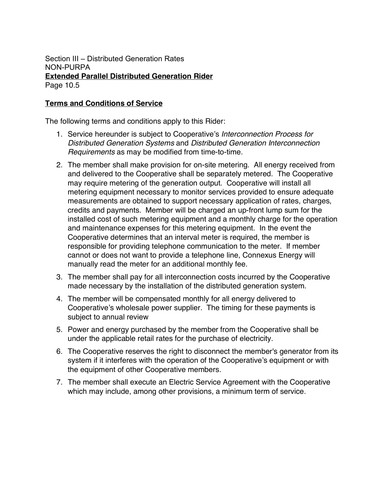# **Terms and Conditions of Service**

The following terms and conditions apply to this Rider:

- 1. Service hereunder is subject to Cooperative's *Interconnection Process for Distributed Generation Systems* and *Distributed Generation Interconnection Requirements* as may be modified from time-to-time.
- 2. The member shall make provision for on-site metering. All energy received from and delivered to the Cooperative shall be separately metered. The Cooperative may require metering of the generation output. Cooperative will install all metering equipment necessary to monitor services provided to ensure adequate measurements are obtained to support necessary application of rates, charges, credits and payments. Member will be charged an up-front lump sum for the installed cost of such metering equipment and a monthly charge for the operation and maintenance expenses for this metering equipment. In the event the Cooperative determines that an interval meter is required, the member is responsible for providing telephone communication to the meter. If member cannot or does not want to provide a telephone line, Connexus Energy will manually read the meter for an additional monthly fee.
- 3. The member shall pay for all interconnection costs incurred by the Cooperative made necessary by the installation of the distributed generation system.
- 4. The member will be compensated monthly for all energy delivered to Cooperative's wholesale power supplier. The timing for these payments is subject to annual review
- 5. Power and energy purchased by the member from the Cooperative shall be under the applicable retail rates for the purchase of electricity.
- 6. The Cooperative reserves the right to disconnect the member's generator from its system if it interferes with the operation of the Cooperative's equipment or with the equipment of other Cooperative members.
- 7. The member shall execute an Electric Service Agreement with the Cooperative which may include, among other provisions, a minimum term of service.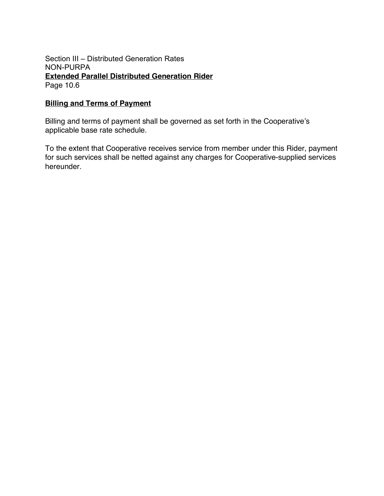# **Billing and Terms of Payment**

Billing and terms of payment shall be governed as set forth in the Cooperative's applicable base rate schedule.

To the extent that Cooperative receives service from member under this Rider, payment for such services shall be netted against any charges for Cooperative-supplied services hereunder.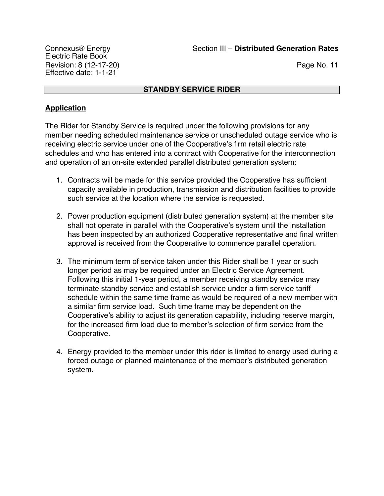# **STANDBY SERVICE RIDER**

# **Application**

The Rider for Standby Service is required under the following provisions for any member needing scheduled maintenance service or unscheduled outage service who is receiving electric service under one of the Cooperative's firm retail electric rate schedules and who has entered into a contract with Cooperative for the interconnection and operation of an on-site extended parallel distributed generation system:

- 1. Contracts will be made for this service provided the Cooperative has sufficient capacity available in production, transmission and distribution facilities to provide such service at the location where the service is requested.
- 2. Power production equipment (distributed generation system) at the member site shall not operate in parallel with the Cooperative's system until the installation has been inspected by an authorized Cooperative representative and final written approval is received from the Cooperative to commence parallel operation.
- 3. The minimum term of service taken under this Rider shall be 1 year or such longer period as may be required under an Electric Service Agreement. Following this initial 1-year period, a member receiving standby service may terminate standby service and establish service under a firm service tariff schedule within the same time frame as would be required of a new member with a similar firm service load. Such time frame may be dependent on the Cooperative's ability to adjust its generation capability, including reserve margin, for the increased firm load due to member's selection of firm service from the Cooperative.
- 4. Energy provided to the member under this rider is limited to energy used during a forced outage or planned maintenance of the member's distributed generation system.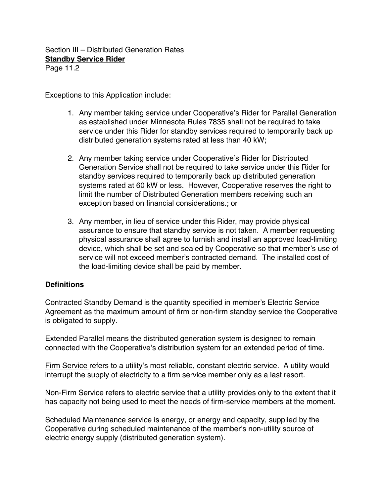Section III – Distributed Generation Rates **Standby Service Rider**

Page 11.2

Exceptions to this Application include:

- 1. Any member taking service under Cooperative's Rider for Parallel Generation as established under Minnesota Rules 7835 shall not be required to take service under this Rider for standby services required to temporarily back up distributed generation systems rated at less than 40 kW;
- 2. Any member taking service under Cooperative's Rider for Distributed Generation Service shall not be required to take service under this Rider for standby services required to temporarily back up distributed generation systems rated at 60 kW or less. However, Cooperative reserves the right to limit the number of Distributed Generation members receiving such an exception based on financial considerations.; or
- 3. Any member, in lieu of service under this Rider, may provide physical assurance to ensure that standby service is not taken. A member requesting physical assurance shall agree to furnish and install an approved load-limiting device, which shall be set and sealed by Cooperative so that member's use of service will not exceed member's contracted demand. The installed cost of the load-limiting device shall be paid by member.

# **Definitions**

Contracted Standby Demand is the quantity specified in member's Electric Service Agreement as the maximum amount of firm or non-firm standby service the Cooperative is obligated to supply.

**Extended Parallel means the distributed generation system is designed to remain** connected with the Cooperative's distribution system for an extended period of time.

Firm Service refers to a utility's most reliable, constant electric service. A utility would interrupt the supply of electricity to a firm service member only as a last resort.

Non-Firm Service refers to electric service that a utility provides only to the extent that it has capacity not being used to meet the needs of firm-service members at the moment.

Scheduled Maintenance service is energy, or energy and capacity, supplied by the Cooperative during scheduled maintenance of the member's non-utility source of electric energy supply (distributed generation system).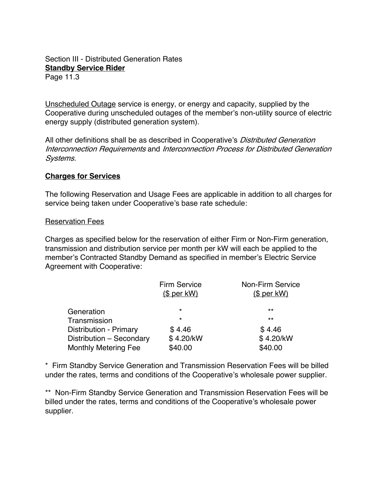## Section III - Distributed Generation Rates **Standby Service Rider** Page 11.3

Unscheduled Outage service is energy, or energy and capacity, supplied by the Cooperative during unscheduled outages of the member's non-utility source of electric energy supply (distributed generation system).

All other definitions shall be as described in Cooperative's *Distributed Generation* Interconnection Requirements and Interconnection Process for Distributed Generation Systems.

# **Charges for Services**

The following Reservation and Usage Fees are applicable in addition to all charges for service being taken under Cooperative's base rate schedule:

## Reservation Fees

Charges as specified below for the reservation of either Firm or Non-Firm generation, transmission and distribution service per month per kW will each be applied to the member's Contracted Standby Demand as specified in member's Electric Service Agreement with Cooperative:

|                               | <b>Firm Service</b><br><u>(\$ per kW)</u> | Non-Firm Service<br><u>(\$ per kW)</u> |
|-------------------------------|-------------------------------------------|----------------------------------------|
| Generation                    | $\star$                                   | $***$                                  |
| Transmission                  | $\star$                                   | $***$                                  |
| <b>Distribution - Primary</b> | \$4.46                                    | \$4.46                                 |
| Distribution - Secondary      | \$4.20/kW                                 | \$4.20/kW                              |
| <b>Monthly Metering Fee</b>   | \$40.00                                   | \$40.00                                |

\* Firm Standby Service Generation and Transmission Reservation Fees will be billed under the rates, terms and conditions of the Cooperative's wholesale power supplier.

\*\* Non-Firm Standby Service Generation and Transmission Reservation Fees will be billed under the rates, terms and conditions of the Cooperative's wholesale power supplier.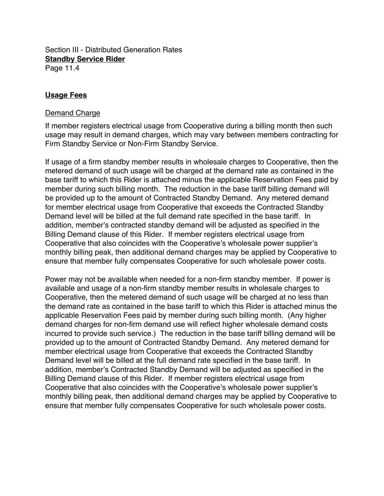Section III - Distributed Generation Rates **Standby Service Rider** Page 11.4

## **Usage Fees**

#### Demand Charge

If member registers electrical usage from Cooperative during a billing month then such usage may result in demand charges, which may vary between members contracting for Firm Standby Service or Non-Firm Standby Service.

If usage of a firm standby member results in wholesale charges to Cooperative, then the metered demand of such usage will be charged at the demand rate as contained in the base tariff to which this Rider is attached minus the applicable Reservation Fees paid by member during such billing month. The reduction in the base tariff billing demand will be provided up to the amount of Contracted Standby Demand. Any metered demand for member electrical usage from Cooperative that exceeds the Contracted Standby Demand level will be billed at the full demand rate specified in the base tariff. In addition, member's contracted standby demand will be adjusted as specified in the Billing Demand clause of this Rider. If member registers electrical usage from Cooperative that also coincides with the Cooperative's wholesale power supplier's monthly billing peak, then additional demand charges may be applied by Cooperative to ensure that member fully compensates Cooperative for such wholesale power costs.

Power may not be available when needed for a non-firm standby member. If power is available and usage of a non-firm standby member results in wholesale charges to Cooperative, then the metered demand of such usage will be charged at no less than the demand rate as contained in the base tariff to which this Rider is attached minus the applicable Reservation Fees paid by member during such billing month. (Any higher demand charges for non-firm demand use will reflect higher wholesale demand costs incurred to provide such service.) The reduction in the base tariff billing demand will be provided up to the amount of Contracted Standby Demand. Any metered demand for member electrical usage from Cooperative that exceeds the Contracted Standby Demand level will be billed at the full demand rate specified in the base tariff. In addition, member's Contracted Standby Demand will be adjusted as specified in the Billing Demand clause of this Rider. If member registers electrical usage from Cooperative that also coincides with the Cooperative's wholesale power supplier's monthly billing peak, then additional demand charges may be applied by Cooperative to ensure that member fully compensates Cooperative for such wholesale power costs.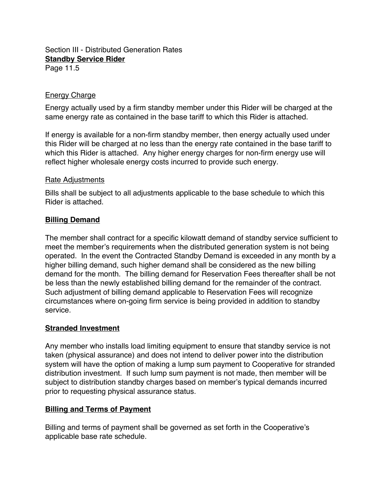## Section III - Distributed Generation Rates **Standby Service Rider** Page 11.5

Energy Charge

Energy actually used by a firm standby member under this Rider will be charged at the same energy rate as contained in the base tariff to which this Rider is attached.

If energy is available for a non-firm standby member, then energy actually used under this Rider will be charged at no less than the energy rate contained in the base tariff to which this Rider is attached. Any higher energy charges for non-firm energy use will reflect higher wholesale energy costs incurred to provide such energy.

## Rate Adjustments

Bills shall be subject to all adjustments applicable to the base schedule to which this Rider is attached.

# **Billing Demand**

The member shall contract for a specific kilowatt demand of standby service sufficient to meet the member's requirements when the distributed generation system is not being operated. In the event the Contracted Standby Demand is exceeded in any month by a higher billing demand, such higher demand shall be considered as the new billing demand for the month. The billing demand for Reservation Fees thereafter shall be not be less than the newly established billing demand for the remainder of the contract. Such adjustment of billing demand applicable to Reservation Fees will recognize circumstances where on-going firm service is being provided in addition to standby service.

# **Stranded Investment**

Any member who installs load limiting equipment to ensure that standby service is not taken (physical assurance) and does not intend to deliver power into the distribution system will have the option of making a lump sum payment to Cooperative for stranded distribution investment. If such lump sum payment is not made, then member will be subject to distribution standby charges based on member's typical demands incurred prior to requesting physical assurance status.

# **Billing and Terms of Payment**

Billing and terms of payment shall be governed as set forth in the Cooperative's applicable base rate schedule.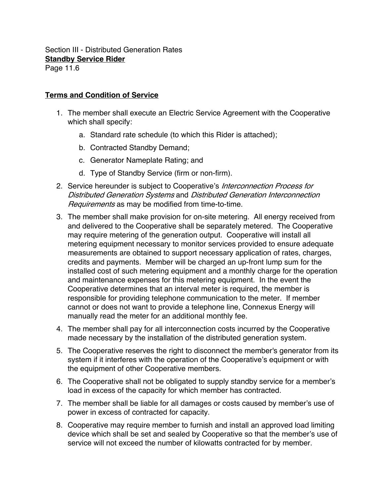## **Terms and Condition of Service**

- 1. The member shall execute an Electric Service Agreement with the Cooperative which shall specify:
	- a. Standard rate schedule (to which this Rider is attached);
	- b. Contracted Standby Demand;
	- c. Generator Nameplate Rating; and
	- d. Type of Standby Service (firm or non-firm).
- 2. Service hereunder is subject to Cooperative's Interconnection Process for Distributed Generation Systems and Distributed Generation Interconnection Requirements as may be modified from time-to-time.
- 3. The member shall make provision for on-site metering. All energy received from and delivered to the Cooperative shall be separately metered. The Cooperative may require metering of the generation output. Cooperative will install all metering equipment necessary to monitor services provided to ensure adequate measurements are obtained to support necessary application of rates, charges, credits and payments. Member will be charged an up-front lump sum for the installed cost of such metering equipment and a monthly charge for the operation and maintenance expenses for this metering equipment. In the event the Cooperative determines that an interval meter is required, the member is responsible for providing telephone communication to the meter. If member cannot or does not want to provide a telephone line, Connexus Energy will manually read the meter for an additional monthly fee.
- 4. The member shall pay for all interconnection costs incurred by the Cooperative made necessary by the installation of the distributed generation system.
- 5. The Cooperative reserves the right to disconnect the member's generator from its system if it interferes with the operation of the Cooperative's equipment or with the equipment of other Cooperative members.
- 6. The Cooperative shall not be obligated to supply standby service for a member's load in excess of the capacity for which member has contracted.
- 7. The member shall be liable for all damages or costs caused by member's use of power in excess of contracted for capacity.
- 8. Cooperative may require member to furnish and install an approved load limiting device which shall be set and sealed by Cooperative so that the member's use of service will not exceed the number of kilowatts contracted for by member.